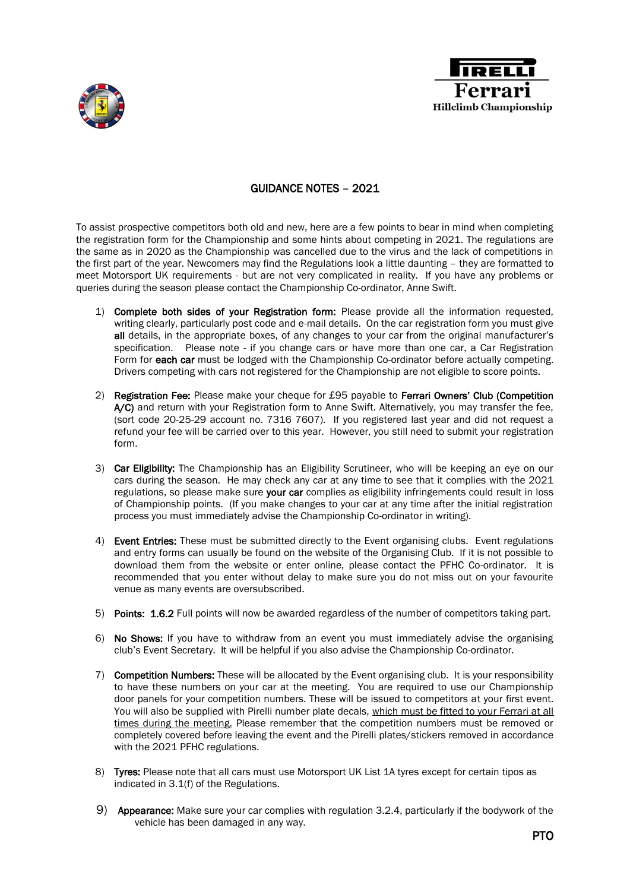



## GUIDANCE NOTES – 2021

To assist prospective competitors both old and new, here are a few points to bear in mind when completing the registration form for the Championship and some hints about competing in 2021. The regulations are the same as in 2020 as the Championship was cancelled due to the virus and the lack of competitions in the first part of the year. Newcomers may find the Regulations look a little daunting – they are formatted to meet Motorsport UK requirements - but are not very complicated in reality. If you have any problems or queries during the season please contact the Championship Co-ordinator, Anne Swift.

- 1) Complete both sides of your Registration form: Please provide all the information requested, writing clearly, particularly post code and e-mail details. On the car registration form you must give all details, in the appropriate boxes, of any changes to your car from the original manufacturer's specification. Please note - if you change cars or have more than one car, a Car Registration Form for each car must be lodged with the Championship Co-ordinator before actually competing. Drivers competing with cars not registered for the Championship are not eligible to score points.
- 2) Registration Fee: Please make your cheque for £95 payable to Ferrari Owners' Club (Competition A/C) and return with your Registration form to Anne Swift. Alternatively, you may transfer the fee, (sort code 20-25-29 account no. 7316 7607). If you registered last year and did not request a refund your fee will be carried over to this year. However, you still need to submit your registration form.
- 3) Car Eligibility: The Championship has an Eligibility Scrutineer, who will be keeping an eye on our cars during the season. He may check any car at any time to see that it complies with the 2021 regulations, so please make sure your car complies as eligibility infringements could result in loss of Championship points. (If you make changes to your car at any time after the initial registration process you must immediately advise the Championship Co-ordinator in writing).
- 4) Event Entries: These must be submitted directly to the Event organising clubs. Event regulations and entry forms can usually be found on the website of the Organising Club. If it is not possible to download them from the website or enter online, please contact the PFHC Co-ordinator. It is recommended that you enter without delay to make sure you do not miss out on your favourite venue as many events are oversubscribed.
- 5) Points: 1.6.2 Full points will now be awarded regardless of the number of competitors taking part.
- 6) No Shows: If you have to withdraw from an event you must immediately advise the organising club's Event Secretary. It will be helpful if you also advise the Championship Co-ordinator.
- 7) Competition Numbers: These will be allocated by the Event organising club. It is your responsibility to have these numbers on your car at the meeting. You are required to use our Championship door panels for your competition numbers. These will be issued to competitors at your first event. You will also be supplied with Pirelli number plate decals, which must be fitted to your Ferrari at all times during the meeting. Please remember that the competition numbers must be removed or completely covered before leaving the event and the Pirelli plates/stickers removed in accordance with the 2021 PFHC regulations.
- 8) Tyres: Please note that all cars must use Motorsport UK List 1A tyres except for certain tipos as indicated in 3.1(f) of the Regulations.
- 9) Appearance: Make sure your car complies with regulation 3.2.4, particularly if the bodywork of the vehicle has been damaged in any way.